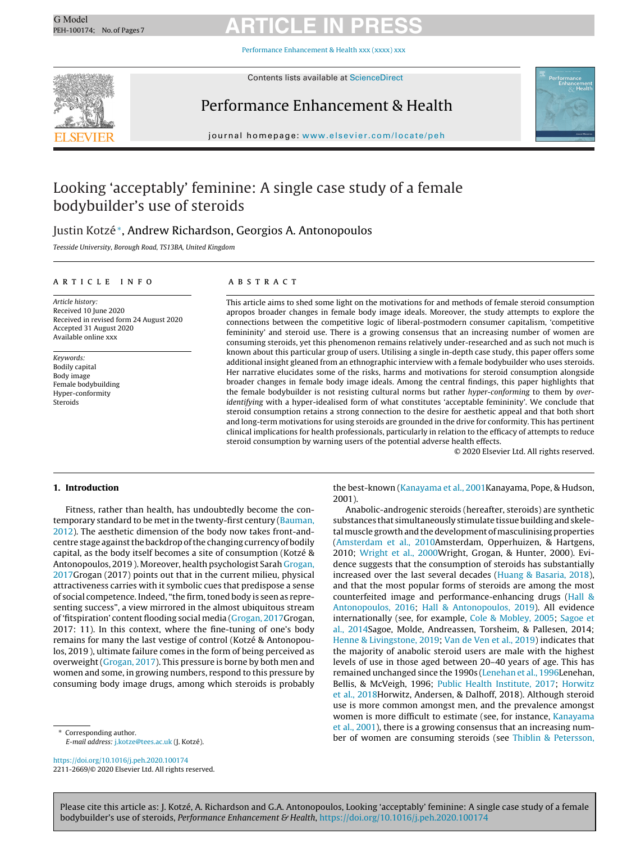Performance [Enhancement](https://doi.org/10.1016/j.peh.2020.100174) & Health xxx (xxxx) xxx



Contents lists available at [ScienceDirect](http://www.sciencedirect.com/science/journal/00000000)

### Performance Enhancement & Health



journal homepage: [www.elsevier.com/locate/peh](http://www.elsevier.com/locate/peh)

### Looking 'acceptably' feminine: A single case study of a female bodybuilder's use of steroids

### Justin Kotzé∗, Andrew Richardson, Georgios A. Antonopoulos

Teesside University, Borough Road, TS13BA, United Kingdom

#### a r t i c l e i n f o

Article history: Received 10 June 2020 Received in revised form 24 August 2020 Accepted 31 August 2020 Available online xxx

Keywords: Bodily capital Body image Female bodybuilding Hyper-conformity Steroids

#### a b s t r a c t

This article aims to shed some light on the motivations for and methods of female steroid consumption apropos broader changes in female body image ideals. Moreover, the study attempts to explore the connections between the competitive logic of liberal-postmodern consumer capitalism, 'competitive femininity' and steroid use. There is a growing consensus that an increasing number of women are consuming steroids, yet this phenomenon remains relatively under-researched and as such not much is known about this particular group of users. Utilising a single in-depth case study, this paper offers some additional insight gleaned from an ethnographic interview with a female bodybuilder who uses steroids. Her narrative elucidates some of the risks, harms and motivations for steroid consumption alongside broader changes in female body image ideals. Among the central findings, this paper highlights that the female bodybuilder is not resisting cultural norms but rather hyper-conforming to them by overidentifying with a hyper-idealised form of what constitutes 'acceptable femininity'. We conclude that steroid consumption retains a strong connection to the desire for aesthetic appeal and that both short and long-term motivations for using steroids are grounded in the drive for conformity. This has pertinent clinical implications for health professionals, particularly in relation to the efficacy of attempts to reduce steroid consumption by warning users of the potential adverse health effects.

© 2020 Elsevier Ltd. All rights reserved.

#### **1. Introduction**

Fitness, rather than health, has undoubtedly become the con-temporary standard to be met in the twenty-first century [\(Bauman,](#page-5-0) [2012\).](#page-5-0) The aesthetic dimension of the body now takes front-andcentre stage against the backdrop of the changing currency of bodily capital, as the body itself becomes a site of consumption (Kotzé & Antonopoulos, 2019 ). Moreover, health psychologist Sarah [Grogan,](#page-5-0) [2017G](#page-5-0)rogan (2017) points out that in the current milieu, physical attractiveness carries with it symbolic cues that predispose a sense of social competence. Indeed, "the firm, toned body is seen as representing success", a view mirrored in the almost ubiquitous stream of 'fitspiration' content flooding social media [\(Grogan,](#page-5-0) [2017G](#page-5-0)rogan, 2017: 11). In this context, where the fine-tuning of one's body remains for many the last vestige of control (Kotzé & Antonopoulos, 2019 ), ultimate failure comes in the form of being perceived as overweight ([Grogan,](#page-5-0) [2017\).](#page-5-0) This pressure is borne by both men and women and some, in growing numbers, respond to this pressure by consuming body image drugs, among which steroids is probably

Corresponding author. E-mail address: [j.kotze@tees.ac.uk](mailto:j.kotze@tees.ac.uk) (J. Kotzé).

<https://doi.org/10.1016/j.peh.2020.100174> 2211-2669/© 2020 Elsevier Ltd. All rights reserved.

the best-known ([Kanayama](#page-6-0) [et](#page-6-0) [al.,](#page-6-0) [2001K](#page-6-0)anayama, Pope, & Hudson, 2001).

Anabolic-androgenic steroids (hereafter, steroids) are synthetic substances that simultaneously stimulate tissue building and skeletal muscle growth and the development of masculinising properties [\(Amsterdam](#page-5-0) [et](#page-5-0) [al.,](#page-5-0) [2010A](#page-5-0)msterdam, Opperhuizen, & Hartgens, 2010; [Wright](#page-6-0) et [al.,](#page-6-0) [2000W](#page-6-0)right, Grogan, & Hunter, 2000). Evidence suggests that the consumption of steroids has substantially increased over the last several decades [\(Huang](#page-6-0) [&](#page-6-0) [Basaria,](#page-6-0) [2018\),](#page-6-0) and that the most popular forms of steroids are among the most counterfeited image and performance-enhancing drugs [\(Hall](#page-6-0) [&](#page-6-0) [Antonopoulos,](#page-6-0) [2016;](#page-6-0) [Hall](#page-6-0) [&](#page-6-0) [Antonopoulos,](#page-6-0) [2019\).](#page-6-0) All evidence internationally (see, for example, [Cole](#page-5-0) [&](#page-5-0) [Mobley,](#page-5-0) [2005;](#page-5-0) [Sagoe](#page-6-0) [et](#page-6-0) [al.,](#page-6-0) [2014Sa](#page-6-0)goe, Molde, Andreassen, Torsheim, & Pallesen, 2014; [Henne](#page-6-0) [&](#page-6-0) [Livingstone,](#page-6-0) [2019;](#page-6-0) [Van](#page-6-0) [de](#page-6-0) [Ven](#page-6-0) et [al.,](#page-6-0) [2019\)](#page-6-0) indicates that the majority of anabolic steroid users are male with the highest levels of use in those aged between 20–40 years of age. This has remained unchanged since the 1990s ([Lenehan](#page-6-0) [et](#page-6-0) [al.,](#page-6-0) [1996Le](#page-6-0)nehan, Bellis, & McVeigh, 1996; [Public](#page-6-0) [Health](#page-6-0) [Institute,](#page-6-0) [2017;](#page-6-0) [Horwitz](#page-6-0) [et](#page-6-0) [al.,](#page-6-0) [2018H](#page-6-0)orwitz, Andersen, & Dalhoff, 2018). Although steroid use is more common amongst men, and the prevalence amongst women is more difficult to estimate (see, for instance, [Kanayama](#page-6-0) et [al.,](#page-6-0) [2001\),](#page-6-0) there is a growing consensus that an increasing number of women are consuming steroids (see [Thiblin](#page-6-0) [&](#page-6-0) [Petersson,](#page-6-0)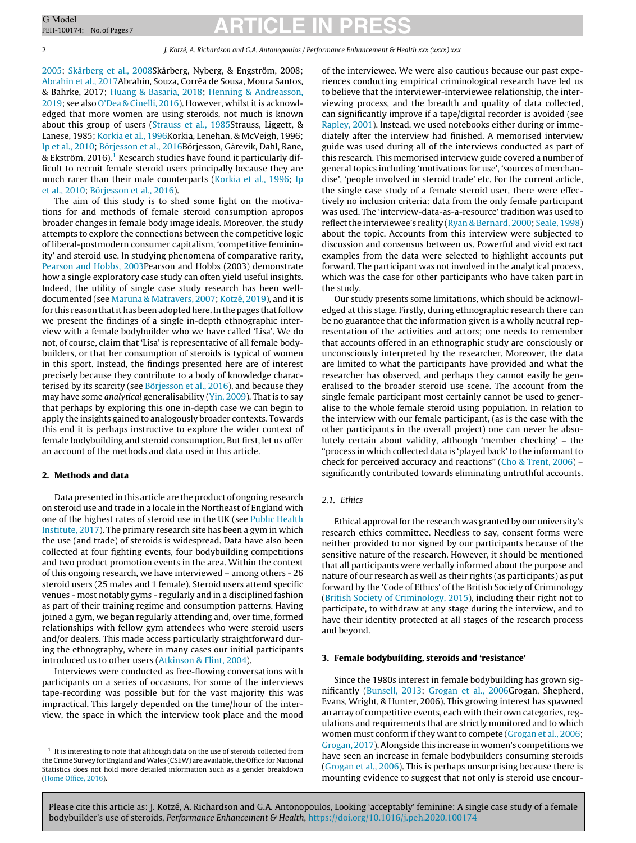2 J. Kotzé, A. Richardson and G.A. Antonopoulos / Performance Enhancement & Health xxx (xxxx) xxx

[2005;](#page-6-0) [Skårberg](#page-6-0) [et](#page-6-0) [al.,](#page-6-0) [2008Sk](#page-6-0)årberg, Nyberg, & Engström, 2008; [Abrahin](#page-5-0) et [al.,](#page-5-0) [2017A](#page-5-0)brahin, Souza, Corrêa de Sousa, Moura Santos, & Bahrke, 2017; [Huang](#page-6-0) [&](#page-6-0) [Basaria,](#page-6-0) [2018;](#page-6-0) [Henning](#page-6-0) [&](#page-6-0) [Andreasson,](#page-6-0) [2019;](#page-6-0) see also [O'Dea](#page-6-0) [&](#page-6-0) [Cinelli,](#page-6-0) [2016\).](#page-6-0) However, whilst it is acknowledged that more women are using steroids, not much is known about this group of users [\(Strauss](#page-6-0) [et](#page-6-0) [al.,](#page-6-0) [1985St](#page-6-0)rauss, Liggett, & Lanese, 1985; [Korkia](#page-6-0) et [al.,](#page-6-0) [1996K](#page-6-0)orkia, Lenehan, & McVeigh, 1996; [Ip](#page-6-0) et [al.,](#page-6-0) [2010;](#page-6-0) [Börjesson](#page-5-0) et [al.,](#page-5-0) [2016Bö](#page-5-0)rjesson, Gårevik, Dahl, Rane, & Ekström, 2016).<sup>1</sup> Research studies have found it particularly difficult to recruit female steroid users principally because they are much rarer than their male counterparts [\(Korkia](#page-6-0) et [al.,](#page-6-0) [1996;](#page-6-0) [Ip](#page-6-0) et [al.,](#page-6-0) [2010;](#page-6-0) [Börjesson](#page-5-0) et [al.,](#page-5-0) [2016\).](#page-5-0)

The aim of this study is to shed some light on the motivations for and methods of female steroid consumption apropos broader changes in female body image ideals. Moreover, the study attempts to explore the connections between the competitive logic of liberal-postmodern consumer capitalism, 'competitive femininity' and steroid use. In studying phenomena of comparative rarity, [Pearson](#page-6-0) [and](#page-6-0) [Hobbs,](#page-6-0) [2003Pe](#page-6-0)arson and Hobbs (2003) demonstrate how a single exploratory case study can often yield useful insights. Indeed, the utility of single case study research has been welldocumented (see [Maruna](#page-6-0) [&](#page-6-0) [Matravers,](#page-6-0) [2007;](#page-6-0) [Kotzé,](#page-6-0) [2019\),](#page-6-0) and it is for this reason that it has been adopted here. In the pages that follow we present the findings of a single in-depth ethnographic interview with a female bodybuilder who we have called 'Lisa'. We do not, of course, claim that 'Lisa' is representative of all female bodybuilders, or that her consumption of steroids is typical of women in this sport. Instead, the findings presented here are of interest precisely because they contribute to a body of knowledge characterised by its scarcity (see [Börjesson](#page-5-0) et [al.,](#page-5-0) [2016\),](#page-5-0) and because they may have some analytical generalisability [\(Yin,](#page-6-0) [2009\).](#page-6-0) That is to say that perhaps by exploring this one in-depth case we can begin to apply the insights gained to analogously broader contexts. Towards this end it is perhaps instructive to explore the wider context of female bodybuilding and steroid consumption. But first, let us offer an account of the methods and data used in this article.

#### **2. Methods and data**

Data presented inthis article are the product of ongoing research on steroid use and trade in a locale in the Northeast of England with one of the highest rates of steroid use in the UK (see [Public](#page-6-0) [Health](#page-6-0) [Institute,](#page-6-0) [2017\).](#page-6-0) The primary research site has been a gym in which the use (and trade) of steroids is widespread. Data have also been collected at four fighting events, four bodybuilding competitions and two product promotion events in the area. Within the context of this ongoing research, we have interviewed – among others - 26 steroid users (25 males and 1 female). Steroid users attend specific venues - most notably gyms - regularly and in a disciplined fashion as part of their training regime and consumption patterns. Having joined a gym, we began regularly attending and, over time, formed relationships with fellow gym attendees who were steroid users and/or dealers. This made access particularly straightforward during the ethnography, where in many cases our initial participants introduced us to other users [\(Atkinson](#page-5-0) [&](#page-5-0) [Flint,](#page-5-0) [2004\).](#page-5-0)

Interviews were conducted as free-flowing conversations with participants on a series of occasions. For some of the interviews tape-recording was possible but for the vast majority this was impractical. This largely depended on the time/hour of the interview, the space in which the interview took place and the mood

of the interviewee. We were also cautious because our past experiences conducting empirical criminological research have led us to believe that the interviewer-interviewee relationship, the interviewing process, and the breadth and quality of data collected, can significantly improve if a tape/digital recorder is avoided (see [Rapley,](#page-6-0) [2001\).](#page-6-0) Instead, we used notebooks either during or immediately after the interview had finished. A memorised interview guide was used during all of the interviews conducted as part of this research. This memorised interview guide covered a number of general topics including 'motivations for use', 'sources of merchandise', 'people involved in steroid trade' etc. For the current article, the single case study of a female steroid user, there were effectively no inclusion criteria: data from the only female participant was used. The 'interview-data-as-a-resource' tradition was used to reflect the interviewee's reality ([Ryan](#page-6-0) [&](#page-6-0) [Bernard,](#page-6-0) [2000;](#page-6-0) [Seale,](#page-6-0) [1998\)](#page-6-0) about the topic. Accounts from this interview were subjected to discussion and consensus between us. Powerful and vivid extract examples from the data were selected to highlight accounts put forward. The participant was not involved in the analytical process, which was the case for other participants who have taken part in the study.

Our study presents some limitations, which should be acknowledged at this stage. Firstly, during ethnographic research there can be no guarantee that the information given is a wholly neutral representation of the activities and actors; one needs to remember that accounts offered in an ethnographic study are consciously or unconsciously interpreted by the researcher. Moreover, the data are limited to what the participants have provided and what the researcher has observed, and perhaps they cannot easily be generalised to the broader steroid use scene. The account from the single female participant most certainly cannot be used to generalise to the whole female steroid using population. In relation to the interview with our female participant, (as is the case with the other participants in the overall project) one can never be absolutely certain about validity, although 'member checking' – the "process in which collected data is 'played back' to the informant to check for perceived accuracy and reactions" [\(Cho](#page-5-0) [&](#page-5-0) [Trent,](#page-5-0) [2006\)](#page-5-0) – significantly contributed towards eliminating untruthful accounts.

#### 2.1. Ethics

Ethical approval for the research was granted by our university's research ethics committee. Needless to say, consent forms were neither provided to nor signed by our participants because of the sensitive nature of the research. However, it should be mentioned that all participants were verbally informed about the purpose and nature of our research as well as their rights (as participants) as put forward by the 'Code of Ethics' of the British Society of Criminology [\(British](#page-5-0) [Society](#page-5-0) [of](#page-5-0) [Criminology,](#page-5-0) [2015\),](#page-5-0) including their right not to participate, to withdraw at any stage during the interview, and to have their identity protected at all stages of the research process and beyond.

#### **3. Female bodybuilding, steroids and 'resistance'**

Since the 1980s interest in female bodybuilding has grown significantly [\(Bunsell,](#page-5-0) [2013;](#page-5-0) [Grogan](#page-5-0) [et](#page-5-0) [al.,](#page-5-0) [2006G](#page-5-0)rogan, Shepherd, Evans, Wright, & Hunter, 2006). This growing interest has spawned an array of competitive events, each with their own categories, regulations and requirements that are strictly monitored and to which women must conform if they want to compete [\(Grogan](#page-5-0) et [al.,](#page-5-0) [2006;](#page-5-0) [Grogan,](#page-5-0) [2017\).](#page-5-0)Alongside this increase in women's competitions we have seen an increase in female bodybuilders consuming steroids [\(Grogan](#page-5-0) et [al.,](#page-5-0) [2006\).](#page-5-0) This is perhaps unsurprising because there is mounting evidence to suggest that not only is steroid use encour-

 $1$  It is interesting to note that although data on the use of steroids collected from the Crime Survey for England andWales (CSEW) are available,the Office for National Statistics does not hold more detailed information such as a gender breakdown [\(Home](#page-6-0) [Office,](#page-6-0) [2016\).](#page-6-0)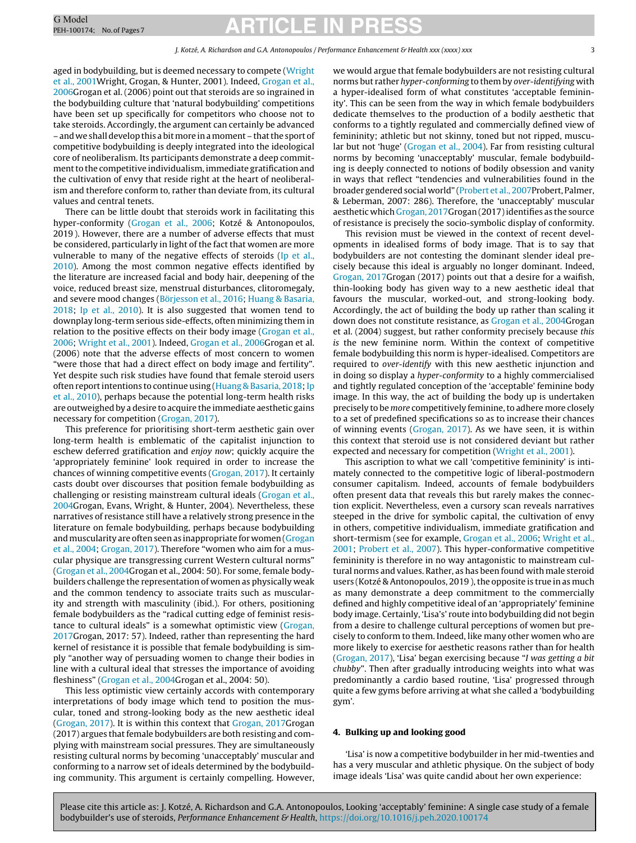aged in bodybuilding, but is deemed necessary to compete [\(Wright](#page-6-0) [et](#page-6-0) [al.,](#page-6-0) [2001W](#page-6-0)right, Grogan, & Hunter, 2001). Indeed, [Grogan](#page-5-0) [et](#page-5-0) [al.,](#page-5-0) [2006G](#page-5-0)rogan et al. (2006) point out that steroids are so ingrained in the bodybuilding culture that 'natural bodybuilding' competitions have been set up specifically for competitors who choose not to take steroids. Accordingly, the argument can certainly be advanced – and we shalldevelopthis a bitmore inamoment – thatthe sport of competitive bodybuilding is deeply integrated into the ideological core of neoliberalism. Its participants demonstrate a deep commitment to the competitive individualism, immediate gratification and the cultivation of envy that reside right at the heart of neoliberalism and therefore conform to, rather than deviate from, its cultural values and central tenets.

There can be little doubt that steroids work in facilitating this hyper-conformity [\(Grogan](#page-5-0) et [al.,](#page-5-0) [2006;](#page-5-0) Kotzé & Antonopoulos, 2019 ). However, there are a number of adverse effects that must be considered, particularly in light of the fact that women are more vulnerable to many of the negative effects of steroids ([Ip](#page-6-0) et [al.,](#page-6-0) [2010\).](#page-6-0) Among the most common negative effects identified by the literature are increased facial and body hair, deepening of the voice, reduced breast size, menstrual disturbances, clitoromegaly, and severe mood changes [\(Börjesson](#page-5-0) et [al.,](#page-5-0) [2016;](#page-5-0) [Huang](#page-6-0) [&](#page-6-0) [Basaria,](#page-6-0) [2018;](#page-6-0) [Ip](#page-6-0) et [al.,](#page-6-0) [2010\).](#page-6-0) It is also suggested that women tend to downplay long-term serious side-effects, often minimizing them in relation to the positive effects on their body image ([Grogan](#page-5-0) et [al.,](#page-5-0) [2006;](#page-5-0) [Wright](#page-6-0) et [al.,](#page-6-0) [2001\).](#page-6-0) Indeed, [Grogan](#page-5-0) [et](#page-5-0) [al.,](#page-5-0) [2006G](#page-5-0)rogan et al. (2006) note that the adverse effects of most concern to women "were those that had a direct effect on body image and fertility". Yet despite such risk studies have found that female steroid users often report intentions to continue using ([Huang](#page-6-0) [&](#page-6-0) [Basaria,](#page-6-0) 2018; Ip et [al.,](#page-6-0) [2010\),](#page-6-0) perhaps because the potential long-term health risks are outweighed by a desire to acquire the immediate aesthetic gains necessary for competition ([Grogan,](#page-5-0) [2017\).](#page-5-0)

This preference for prioritising short-term aesthetic gain over long-term health is emblematic of the capitalist injunction to eschew deferred gratification and enjoy now; quickly acquire the 'appropriately feminine' look required in order to increase the chances of winning competitive events [\(Grogan,](#page-5-0) [2017\).](#page-5-0) It certainly casts doubt over discourses that position female bodybuilding as challenging or resisting mainstream cultural ideals [\(Grogan](#page-5-0) [et](#page-5-0) [al.,](#page-5-0) [2004G](#page-5-0)rogan, Evans, Wright, & Hunter, 2004). Nevertheless, these narratives of resistance still have a relatively strong presence in the literature on female bodybuilding, perhaps because bodybuilding and muscularity are often seen as inappropriate for women ([Grogan](#page-5-0) et [al.,](#page-5-0) [2004;](#page-5-0) [Grogan,](#page-5-0) [2017\).](#page-5-0) Therefore "women who aim for a muscular physique are transgressing current Western cultural norms" ([Grogan](#page-5-0) et [al.,](#page-5-0) [2004G](#page-5-0)rogan et al., 2004: 50). For some, female bodybuilders challenge the representation of women as physically weak and the common tendency to associate traits such as muscularity and strength with masculinity (ibid.). For others, positioning female bodybuilders as the "radical cutting edge of feminist resistance to cultural ideals" is a somewhat optimistic view ([Grogan,](#page-5-0) [2017G](#page-5-0)rogan, 2017: 57). Indeed, rather than representing the hard kernel of resistance it is possible that female bodybuilding is simply "another way of persuading women to change their bodies in line with a cultural ideal that stresses the importance of avoiding fleshiness" ([Grogan](#page-5-0) et [al.,](#page-5-0) [2004G](#page-5-0)rogan et al., 2004: 50).

This less optimistic view certainly accords with contemporary interpretations of body image which tend to position the muscular, toned and strong-looking body as the new aesthetic ideal ([Grogan,](#page-5-0) [2017\).](#page-5-0) It is within this context that [Grogan,](#page-5-0) [2017G](#page-5-0)rogan (2017) argues that female bodybuilders are both resisting and complying with mainstream social pressures. They are simultaneously resisting cultural norms by becoming 'unacceptably' muscular and conforming to a narrow set of ideals determined by the bodybuilding community. This argument is certainly compelling. However, we would argue that female bodybuilders are not resisting cultural norms but rather hyper-conforming to them by over-identifying with a hyper-idealised form of what constitutes 'acceptable femininity'. This can be seen from the way in which female bodybuilders dedicate themselves to the production of a bodily aesthetic that conforms to a tightly regulated and commercially defined view of femininity; athletic but not skinny, toned but not ripped, muscular but not 'huge' ([Grogan](#page-5-0) et [al.,](#page-5-0) [2004\).](#page-5-0) Far from resisting cultural norms by becoming 'unacceptably' muscular, female bodybuilding is deeply connected to notions of bodily obsession and vanity in ways that reflect "tendencies and vulnerabilities found in the broader gendered social world" ([Probert](#page-6-0) [et](#page-6-0) [al.,](#page-6-0) [2007P](#page-6-0)robert, Palmer, & Leberman, 2007: 286). Therefore, the 'unacceptably' muscular aesthetic which [Grogan,](#page-5-0) [2017G](#page-5-0)rogan (2017) identifies as the source of resistance is precisely the socio-symbolic display of conformity.

This revision must be viewed in the context of recent developments in idealised forms of body image. That is to say that bodybuilders are not contesting the dominant slender ideal precisely because this ideal is arguably no longer dominant. Indeed, [Grogan,](#page-5-0) [2017G](#page-5-0)rogan (2017) points out that a desire for a waifish, thin-looking body has given way to a new aesthetic ideal that favours the muscular, worked-out, and strong-looking body. Accordingly, the act of building the body up rather than scaling it down does not constitute resistance, as [Grogan](#page-5-0) [et](#page-5-0) [al.,](#page-5-0) [2004G](#page-5-0)rogan et al. (2004) suggest, but rather conformity precisely because this is the new feminine norm. Within the context of competitive female bodybuilding this norm is hyper-idealised. Competitors are required to over-identify with this new aesthetic injunction and in doing so display a hyper-conformity to a highly commercialised and tightly regulated conception of the 'acceptable' feminine body image. In this way, the act of building the body up is undertaken precisely to be more competitively feminine, to adhere more closely to a set of predefined specifications so as to increase their chances of winning events [\(Grogan,](#page-5-0) [2017\).](#page-5-0) As we have seen, it is within this context that steroid use is not considered deviant but rather expected and necessary for competition [\(Wright](#page-6-0) et [al.,](#page-6-0) [2001\).](#page-6-0)

This ascription to what we call 'competitive femininity' is intimately connected to the competitive logic of liberal-postmodern consumer capitalism. Indeed, accounts of female bodybuilders often present data that reveals this but rarely makes the connection explicit. Nevertheless, even a cursory scan reveals narratives steeped in the drive for symbolic capital, the cultivation of envy in others, competitive individualism, immediate gratification and short-termism (see for example, [Grogan](#page-5-0) et [al.,](#page-5-0) [2006;](#page-5-0) [Wright](#page-6-0) et [al.,](#page-6-0) [2001;](#page-6-0) [Probert](#page-6-0) et [al.,](#page-6-0) [2007\).](#page-6-0) This hyper-conformative competitive femininity is therefore in no way antagonistic to mainstream cultural norms and values. Rather, as has been found with male steroid users (Kotzé & Antonopoulos, 2019), the opposite is true in as much as many demonstrate a deep commitment to the commercially defined and highly competitive ideal of an 'appropriately' feminine body image. Certainly, 'Lisa's' route into bodybuilding did not begin from a desire to challenge cultural perceptions of women but precisely to conform to them. Indeed, like many other women who are more likely to exercise for aesthetic reasons rather than for health [\(Grogan,](#page-5-0) [2017\),](#page-5-0) 'Lisa' began exercising because "I was getting a bit chubby". Then after gradually introducing weights into what was predominantly a cardio based routine, 'Lisa' progressed through quite a few gyms before arriving at what she called a 'bodybuilding gym'.

#### **4. Bulking up and looking good**

'Lisa' is now a competitive bodybuilder in her mid-twenties and has a very muscular and athletic physique. On the subject of body image ideals 'Lisa' was quite candid about her own experience: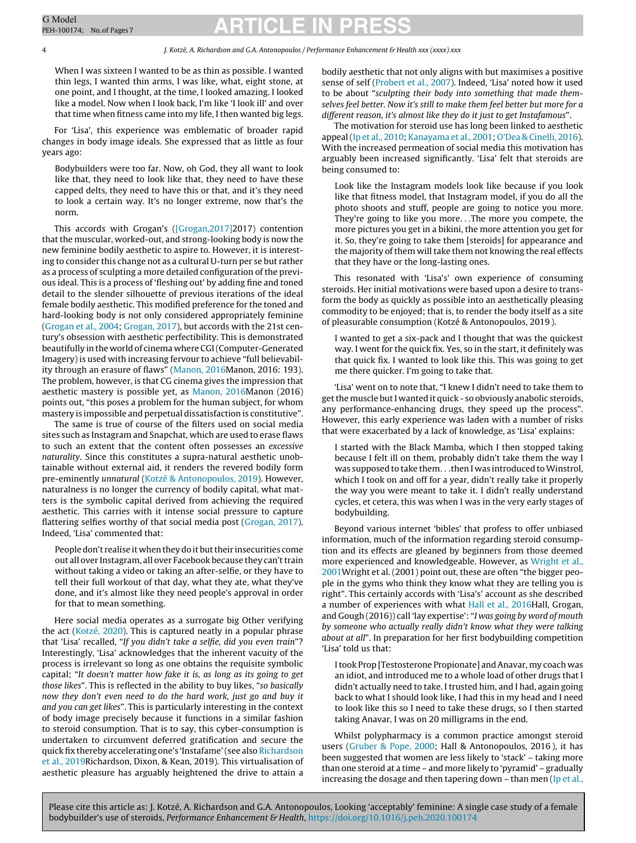4 J. Kotzé, A. Richardson and G.A. Antonopoulos / Performance Enhancement & Health xxx (xxxx) xxx

When I was sixteen I wanted to be as thin as possible. I wanted thin legs, I wanted thin arms, I was like, what, eight stone, at one point, and I thought, at the time, I looked amazing. I looked like a model. Now when I look back, I'm like 'I look ill' and over that time when fitness came into my life, I then wanted big legs.

For 'Lisa', this experience was emblematic of broader rapid changes in body image ideals. She expressed that as little as four years ago:

Bodybuilders were too far. Now, oh God, they all want to look like that, they need to look like that, they need to have these capped delts, they need to have this or that, and it's they need to look a certain way. It's no longer extreme, now that's the norm.

This accords with Grogan's ([\[Grogan,2017\]2](#page-5-0)017) contention that the muscular, worked-out, and strong-looking body is now the new feminine bodily aesthetic to aspire to. However, it is interesting to consider this change not as a cultural U-turn per se but rather as a process of sculpting a more detailed configuration of the previous ideal. This is a process of 'fleshing out' by adding fine and toned detail to the slender silhouette of previous iterations of the ideal female bodily aesthetic. This modified preference for the toned and hard-looking body is not only considered appropriately feminine ([Grogan](#page-5-0) et [al.,](#page-5-0) [2004;](#page-5-0) [Grogan,](#page-5-0) [2017\),](#page-5-0) but accords with the 21st century's obsession with aesthetic perfectibility. This is demonstrated beautifully in the world of cinema where CGI(Computer-Generated Imagery) is used with increasing fervour to achieve "full believability through an erasure of flaws" ([Manon,](#page-6-0) [2016M](#page-6-0)anon, 2016: 193). The problem, however, is that CG cinema gives the impression that aesthetic mastery is possible yet, as [Manon,](#page-6-0) [2016M](#page-6-0)anon (2016) points out, "this poses a problem for the human subject, for whom mastery is impossible and perpetual dissatisfaction is constitutive".

The same is true of course of the filters used on social media sites such as Instagram and Snapchat, which are used to erase flaws to such an extent that the content often possesses an excessive naturality. Since this constitutes a supra-natural aesthetic unobtainable without external aid, it renders the revered bodily form pre-eminently unnatural [\(Kotzé](#page-6-0) [&](#page-6-0) [Antonopoulos,](#page-6-0) [2019\).](#page-6-0) However, naturalness is no longer the currency of bodily capital, what matters is the symbolic capital derived from achieving the required aesthetic. This carries with it intense social pressure to capture flattering selfies worthy of that social media post [\(Grogan,](#page-5-0) [2017\).](#page-5-0) Indeed, 'Lisa' commented that:

People don't realise it when they do it but their insecurities come out all over Instagram, all over Facebook because they can't train without taking a video or taking an after-selfie, or they have to tell their full workout of that day, what they ate, what they've done, and it's almost like they need people's approval in order for that to mean something.

Here social media operates as a surrogate big Other verifying the act [\(Kotzé,](#page-6-0) [2020\).](#page-6-0) This is captured neatly in a popular phrase that 'Lisa' recalled, "If you didn't take a selfie, did you even train"? Interestingly, 'Lisa' acknowledges that the inherent vacuity of the process is irrelevant so long as one obtains the requisite symbolic capital; "It doesn't matter how fake it is, as long as its going to get those likes". This is reflected in the ability to buy likes, "so basically now they don't even need to do the hard work, just go and buy it and you can get likes". This is particularly interesting in the context of body image precisely because it functions in a similar fashion to steroid consumption. That is to say, this cyber-consumption is undertaken to circumvent deferred gratification and secure the quick fix thereby accelerating one's 'Instafame'(see also [Richardson](#page-6-0) et [al.,](#page-6-0) [2019Ri](#page-6-0)chardson, Dixon, & Kean, 2019). This virtualisation of aesthetic pleasure has arguably heightened the drive to attain a bodily aesthetic that not only aligns with but maximises a positive sense of self [\(Probert](#page-6-0) et [al.,](#page-6-0) [2007\).](#page-6-0) Indeed, 'Lisa' noted how it used to be about "sculpting their body into something that made themselves feel better. Now it's still to make them feel better but more for a different reason, it's almost like they do it just to get Instafamous".

The motivation for steroid use has long been linked to aesthetic appeal[\(Ip](#page-6-0) et [al.,](#page-6-0) [2010;](#page-6-0) [Kanayama](#page-6-0) et [al.,](#page-6-0) [2001;](#page-6-0) [O'Dea](#page-6-0) [&](#page-6-0) [Cinelli,](#page-6-0) [2016\).](#page-6-0) With the increased permeation of social media this motivation has arguably been increased significantly. 'Lisa' felt that steroids are being consumed to:

Look like the Instagram models look like because if you look like that fitness model, that Instagram model, if you do all the photo shoots and stuff, people are going to notice you more. They're going to like you more. . .The more you compete, the more pictures you get in a bikini, the more attention you get for it. So, they're going to take them [steroids] for appearance and the majority of them will take them not knowing the real effects that they have or the long-lasting ones.

This resonated with 'Lisa's' own experience of consuming steroids. Her initial motivations were based upon a desire to transform the body as quickly as possible into an aesthetically pleasing commodity to be enjoyed; that is, to render the body itself as a site of pleasurable consumption (Kotzé & Antonopoulos, 2019 ).

I wanted to get a six-pack and I thought that was the quickest way. I went for the quick fix. Yes, so in the start, it definitely was that quick fix. I wanted to look like this. This was going to get me there quicker. I'm going to take that.

'Lisa' went on to note that, "I knew I didn't need to take them to get the muscle but I wanted it quick - so obviously anabolic steroids, any performance-enhancing drugs, they speed up the process". However, this early experience was laden with a number of risks that were exacerbated by a lack of knowledge, as 'Lisa' explains:

I started with the Black Mamba, which I then stopped taking because I felt ill on them, probably didn't take them the way I was supposed to take them. . . then I was introduced to Winstrol, which I took on and off for a year, didn't really take it properly the way you were meant to take it. I didn't really understand cycles, et cetera, this was when I was in the very early stages of bodybuilding.

Beyond various internet 'bibles' that profess to offer unbiased information, much of the information regarding steroid consumption and its effects are gleaned by beginners from those deemed more experienced and knowledgeable. However, as [Wright](#page-6-0) [et](#page-6-0) [al.,](#page-6-0) [2001W](#page-6-0)right et al. (2001) point out, these are often "the bigger people in the gyms who think they know what they are telling you is right". This certainly accords with 'Lisa's' account as she described a number of experiences with what [Hall](#page-5-0) [et](#page-5-0) [al.,](#page-5-0) [2016H](#page-5-0)all, Grogan, and Gough (2016)) call 'lay expertise': "I was going by word of mouth by someone who actually really didn't know what they were talking about at all". In preparation for her first bodybuilding competition 'Lisa' told us that:

Itook Prop [Testosterone Propionate] and Anavar, my coach was an idiot, and introduced me to a whole load of other drugs that I didn't actually need to take. I trusted him, and I had, again going back to what I should look like, I had this in my head and I need to look like this so I need to take these drugs, so I then started taking Anavar, I was on 20 milligrams in the end.

Whilst polypharmacy is a common practice amongst steroid users ([Gruber](#page-5-0) [&](#page-5-0) [Pope,](#page-5-0) [2000;](#page-5-0) Hall & Antonopoulos, 2016 ), it has been suggested that women are less likely to 'stack' – taking more than one steroid at a time – and more likely to 'pyramid' – gradually increasing the dosage and then tapering down  $-$  than men [\(Ip](#page-6-0) et [al.,](#page-6-0)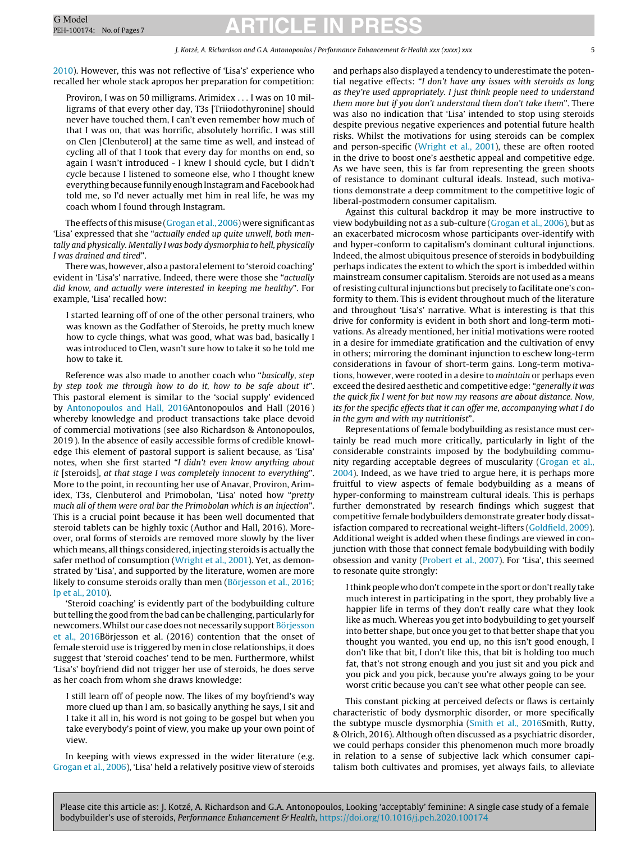[2010\).](#page-6-0) However, this was not reflective of 'Lisa's' experience who recalled her whole stack apropos her preparation for competition:

Proviron, I was on 50 milligrams. Arimidex . . . I was on 10 milligrams of that every other day, T3s [Triiodothyronine] should never have touched them, I can't even remember how much of that I was on, that was horrific, absolutely horrific. I was still on Clen [Clenbuterol] at the same time as well, and instead of cycling all of that I took that every day for months on end, so again I wasn't introduced - I knew I should cycle, but I didn't cycle because I listened to someone else, who I thought knew everything because funnily enough Instagramand Facebook had told me, so I'd never actually met him in real life, he was my coach whom I found through Instagram.

The effects of this misuse ([Grogan](#page-5-0) et [al.,](#page-5-0) [2006\)](#page-5-0) were significant as 'Lisa' expressed that she "actually ended up quite unwell, both mentally and physically. Mentally I was body dysmorphia to hell, physically I was drained and tired".

There was, however, also a pastoral element to 'steroid coaching' evident in 'Lisa's' narrative. Indeed, there were those she "actually did know, and actually were interested in keeping me healthy". For example, 'Lisa' recalled how:

I started learning off of one of the other personal trainers, who was known as the Godfather of Steroids, he pretty much knew how to cycle things, what was good, what was bad, basically I was introduced to Clen, wasn't sure how to take it so he told me how to take it.

Reference was also made to another coach who "basically, step by step took me through how to do it, how to be safe about it". This pastoral element is similar to the 'social supply' evidenced by [Antonopoulos](#page-5-0) [and](#page-5-0) [Hall,](#page-5-0) [2016A](#page-5-0)ntonopoulos and Hall (2016 ) whereby knowledge and product transactions take place devoid of commercial motivations (see also Richardson & Antonopoulos, 2019 ). In the absence of easily accessible forms of credible knowledge this element of pastoral support is salient because, as 'Lisa' notes, when she first started "I didn't even know anything about it [steroids], at that stage I was completely innocent to everything". More to the point, in recounting her use of Anavar, Proviron, Arimidex, T3s, Clenbuterol and Primobolan, 'Lisa' noted how "pretty much all of them were oral bar the Primobolan which is an injection". This is a crucial point because it has been well documented that steroid tablets can be highly toxic (Author and Hall, 2016). Moreover, oral forms of steroids are removed more slowly by the liver which means, all things considered, injecting steroids is actually the safer method of consumption [\(Wright](#page-6-0) et [al.,](#page-6-0) [2001\).](#page-6-0) Yet, as demonstrated by 'Lisa', and supported by the literature, women are more likely to consume steroids orally than men ([Börjesson](#page-5-0) et [al.,](#page-5-0) [2016;](#page-5-0) [Ip](#page-6-0) et [al.,](#page-6-0) [2010\).](#page-6-0)

'Steroid coaching' is evidently part of the bodybuilding culture but telling the good from the bad can be challenging, particularly for newcomers.Whilst our case does not necessarily support [Börjesson](#page-5-0) [et](#page-5-0) [al.,](#page-5-0) [2016Bö](#page-5-0)rjesson et al. (2016) contention that the onset of female steroid use is triggered by men in close relationships, it does suggest that 'steroid coaches' tend to be men. Furthermore, whilst 'Lisa's' boyfriend did not trigger her use of steroids, he does serve as her coach from whom she draws knowledge:

I still learn off of people now. The likes of my boyfriend's way more clued up than I am, so basically anything he says, I sit and I take it all in, his word is not going to be gospel but when you take everybody's point of view, you make up your own point of view.

In keeping with views expressed in the wider literature (e.g. [Grogan](#page-5-0) et [al.,](#page-5-0) [2006\),](#page-5-0) 'Lisa' held a relatively positive view of steroids and perhaps also displayed a tendency to underestimate the potential negative effects: "I don't have any issues with steroids as long as they're used appropriately. I just think people need to understand them more but if you don't understand them don't take them". There was also no indication that 'Lisa' intended to stop using steroids despite previous negative experiences and potential future health risks. Whilst the motivations for using steroids can be complex and person-specific [\(Wright](#page-6-0) et [al.,](#page-6-0) [2001\),](#page-6-0) these are often rooted in the drive to boost one's aesthetic appeal and competitive edge. As we have seen, this is far from representing the green shoots of resistance to dominant cultural ideals. Instead, such motivations demonstrate a deep commitment to the competitive logic of liberal-postmodern consumer capitalism.

Against this cultural backdrop it may be more instructive to view bodybuilding not as a sub-culture [\(Grogan](#page-5-0) et [al.,](#page-5-0) [2006\),](#page-5-0) but as an exacerbated microcosm whose participants over-identify with and hyper-conform to capitalism's dominant cultural injunctions. Indeed, the almost ubiquitous presence of steroids in bodybuilding perhaps indicates the extent to which the sport is imbedded within mainstream consumer capitalism. Steroids are not used as a means of resisting cultural injunctions but precisely to facilitate one's conformity to them. This is evident throughout much of the literature and throughout 'Lisa's' narrative. What is interesting is that this drive for conformity is evident in both short and long-term motivations. As already mentioned, her initial motivations were rooted in a desire for immediate gratification and the cultivation of envy in others; mirroring the dominant injunction to eschew long-term considerations in favour of short-term gains. Long-term motivations, however, were rooted in a desire to maintain or perhaps even exceed the desired aesthetic and competitive edge: "generally it was the quick fix I went for but now my reasons are about distance. Now, its for the specific effects that it can offer me, accompanying what I do in the gym and with my nutritionist".

Representations of female bodybuilding as resistance must certainly be read much more critically, particularly in light of the considerable constraints imposed by the bodybuilding community regarding acceptable degrees of muscularity [\(Grogan](#page-5-0) et [al.,](#page-5-0) [2004\).](#page-5-0) Indeed, as we have tried to argue here, it is perhaps more fruitful to view aspects of female bodybuilding as a means of hyper-conforming to mainstream cultural ideals. This is perhaps further demonstrated by research findings which suggest that competitive female bodybuilders demonstrate greater body dissatisfaction compared to recreational weight-lifters ([Goldfield,](#page-5-0) [2009\).](#page-5-0) Additional weight is added when these findings are viewed in conjunction with those that connect female bodybuilding with bodily obsession and vanity [\(Probert](#page-6-0) et [al.,](#page-6-0) [2007\).](#page-6-0) For 'Lisa', this seemed to resonate quite strongly:

Ithink people who don't compete in the sport or don't really take much interest in participating in the sport, they probably live a happier life in terms of they don't really care what they look like as much. Whereas you get into bodybuilding to get yourself into better shape, but once you get to that better shape that you thought you wanted, you end up, no this isn't good enough, I don't like that bit, I don't like this, that bit is holding too much fat, that's not strong enough and you just sit and you pick and you pick and you pick, because you're always going to be your worst critic because you can't see what other people can see.

This constant picking at perceived defects or flaws is certainly characteristic of body dysmorphic disorder, or more specifically the subtype muscle dysmorphia ([Smith](#page-6-0) [et](#page-6-0) [al.,](#page-6-0) [2016Sm](#page-6-0)ith, Rutty, & Olrich, 2016). Although often discussed as a psychiatric disorder, we could perhaps consider this phenomenon much more broadly in relation to a sense of subjective lack which consumer capitalism both cultivates and promises, yet always fails, to alleviate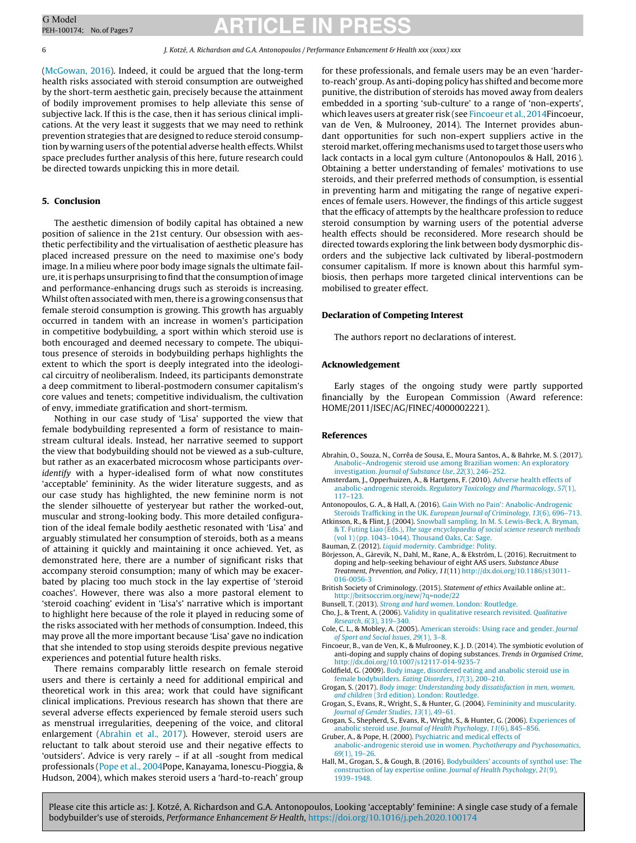([McGowan,](#page-6-0) [2016\).](#page-6-0) Indeed, it could be argued that the long-term health risks associated with steroid consumption are outweighed by the short-term aesthetic gain, precisely because the attainment of bodily improvement promises to help alleviate this sense of subjective lack. If this is the case, then it has serious clinical implications. At the very least it suggests that we may need to rethink prevention strategies that are designed to reduce steroid consumption by warning users of the potential adverse health effects. Whilst space precludes further analysis of this here, future research could be directed towards unpicking this in more detail.

#### **5. Conclusion**

The aesthetic dimension of bodily capital has obtained a new position of salience in the 21st century. Our obsession with aesthetic perfectibility and the virtualisation of aesthetic pleasure has placed increased pressure on the need to maximise one's body image. In a milieu where poor body image signals the ultimate failure, it is perhaps unsurprising to find that the consumption of image and performance-enhancing drugs such as steroids is increasing. Whilst often associated with men, there is a growing consensus that female steroid consumption is growing. This growth has arguably occurred in tandem with an increase in women's participation in competitive bodybuilding, a sport within which steroid use is both encouraged and deemed necessary to compete. The ubiquitous presence of steroids in bodybuilding perhaps highlights the extent to which the sport is deeply integrated into the ideological circuitry of neoliberalism. Indeed, its participants demonstrate a deep commitment to liberal-postmodern consumer capitalism's core values and tenets; competitive individualism, the cultivation of envy, immediate gratification and short-termism.

Nothing in our case study of 'Lisa' supported the view that female bodybuilding represented a form of resistance to mainstream cultural ideals. Instead, her narrative seemed to support the view that bodybuilding should not be viewed as a sub-culture, but rather as an exacerbated microcosm whose participants overidentify with a hyper-idealised form of what now constitutes 'acceptable' femininity. As the wider literature suggests, and as our case study has highlighted, the new feminine norm is not the slender silhouette of yesteryear but rather the worked-out, muscular and strong-looking body. This more detailed configuration of the ideal female bodily aesthetic resonated with 'Lisa' and arguably stimulated her consumption of steroids, both as a means of attaining it quickly and maintaining it once achieved. Yet, as demonstrated here, there are a number of significant risks that accompany steroid consumption; many of which may be exacerbated by placing too much stock in the lay expertise of 'steroid coaches'. However, there was also a more pastoral element to 'steroid coaching' evident in 'Lisa's' narrative which is important to highlight here because of the role it played in reducing some of the risks associated with her methods of consumption. Indeed, this may prove all the more important because 'Lisa' gave no indication that she intended to stop using steroids despite previous negative experiences and potential future health risks.

There remains comparably little research on female steroid users and there is certainly a need for additional empirical and theoretical work in this area; work that could have significant clinical implications. Previous research has shown that there are several adverse effects experienced by female steroid users such as menstrual irregularities, deepening of the voice, and clitoral enlargement (Abrahin et al., 2017). However, steroid users are reluctant to talk about steroid use and their negative effects to 'outsiders'. Advice is very rarely – if at all -sought from medical professionals ([Pope](#page-6-0) [et](#page-6-0) [al.,](#page-6-0) [2004Po](#page-6-0)pe, Kanayama, Ionescu-Pioggia, & Hudson, 2004), which makes steroid users a 'hard-to-reach' group

for these professionals, and female users may be an even 'harderto-reach' group.As anti-doping policy has shifted and become more punitive, the distribution of steroids has moved away from dealers embedded in a sporting 'sub-culture' to a range of 'non-experts', which leaves users at greater risk (see Fincoeur et al., 2014Fincoeur, van de Ven, & Mulrooney, 2014). The Internet provides abundant opportunities for such non-expert suppliers active in the steroid market, offering mechanisms used to target those users who lack contacts in a local gym culture (Antonopoulos & Hall, 2016 ). Obtaining a better understanding of females' motivations to use steroids, and their preferred methods of consumption, is essential in preventing harm and mitigating the range of negative experiences of female users. However, the findings of this article suggest that the efficacy of attempts by the healthcare profession to reduce steroid consumption by warning users of the potential adverse health effects should be reconsidered. More research should be directed towards exploring the link between body dysmorphic disorders and the subjective lack cultivated by liberal-postmodern consumer capitalism. If more is known about this harmful symbiosis, then perhaps more targeted clinical interventions can be mobilised to greater effect.

#### **Declaration of Competing Interest**

The authors report no declarations of interest.

#### **Acknowledgement**

Early stages of the ongoing study were partly supported financially by the European Commission (Award reference: HOME/2011/ISEC/AG/FINEC/4000002221).

#### **References**

- Abrahin, O., Souza, N., Corrêa de Sousa, E., Moura Santos, A., & Bahrke, M. S. (2017). [Anabolic–Androgenic](http://refhub.elsevier.com/S2211-2669(20)30018-9/sbref0005) [steroid](http://refhub.elsevier.com/S2211-2669(20)30018-9/sbref0005) [use](http://refhub.elsevier.com/S2211-2669(20)30018-9/sbref0005) [among](http://refhub.elsevier.com/S2211-2669(20)30018-9/sbref0005) [Brazilian](http://refhub.elsevier.com/S2211-2669(20)30018-9/sbref0005) [women:](http://refhub.elsevier.com/S2211-2669(20)30018-9/sbref0005) [An](http://refhub.elsevier.com/S2211-2669(20)30018-9/sbref0005) [exploratory](http://refhub.elsevier.com/S2211-2669(20)30018-9/sbref0005) [investigation.](http://refhub.elsevier.com/S2211-2669(20)30018-9/sbref0005) [Journal](http://refhub.elsevier.com/S2211-2669(20)30018-9/sbref0005) [of](http://refhub.elsevier.com/S2211-2669(20)30018-9/sbref0005) [Substance](http://refhub.elsevier.com/S2211-2669(20)30018-9/sbref0005) [Use](http://refhub.elsevier.com/S2211-2669(20)30018-9/sbref0005)[,](http://refhub.elsevier.com/S2211-2669(20)30018-9/sbref0005) [22](http://refhub.elsevier.com/S2211-2669(20)30018-9/sbref0005)[\(3\),](http://refhub.elsevier.com/S2211-2669(20)30018-9/sbref0005) [246](http://refhub.elsevier.com/S2211-2669(20)30018-9/sbref0005)–[252.](http://refhub.elsevier.com/S2211-2669(20)30018-9/sbref0005)
- Amsterdam, J., Opperhuizen, A., & Hartgens, F. (2010). [Adverse](http://refhub.elsevier.com/S2211-2669(20)30018-9/sbref0010) [health](http://refhub.elsevier.com/S2211-2669(20)30018-9/sbref0010) [effects](http://refhub.elsevier.com/S2211-2669(20)30018-9/sbref0010) [of](http://refhub.elsevier.com/S2211-2669(20)30018-9/sbref0010) [anabolic-androgenic](http://refhub.elsevier.com/S2211-2669(20)30018-9/sbref0010) [steroids.](http://refhub.elsevier.com/S2211-2669(20)30018-9/sbref0010) [Regulatory](http://refhub.elsevier.com/S2211-2669(20)30018-9/sbref0010) [Toxicology](http://refhub.elsevier.com/S2211-2669(20)30018-9/sbref0010) [and](http://refhub.elsevier.com/S2211-2669(20)30018-9/sbref0010) [Pharmacology](http://refhub.elsevier.com/S2211-2669(20)30018-9/sbref0010)[,](http://refhub.elsevier.com/S2211-2669(20)30018-9/sbref0010) [57](http://refhub.elsevier.com/S2211-2669(20)30018-9/sbref0010)[\(1\),](http://refhub.elsevier.com/S2211-2669(20)30018-9/sbref0010) [117–123.](http://refhub.elsevier.com/S2211-2669(20)30018-9/sbref0010)
- Antonopoulos, G. A., & Hall, A. (2016). [Gain](http://refhub.elsevier.com/S2211-2669(20)30018-9/sbref0015) [With](http://refhub.elsevier.com/S2211-2669(20)30018-9/sbref0015) [no](http://refhub.elsevier.com/S2211-2669(20)30018-9/sbref0015) [Pain':](http://refhub.elsevier.com/S2211-2669(20)30018-9/sbref0015) [Anabolic-Androgenic](http://refhub.elsevier.com/S2211-2669(20)30018-9/sbref0015) [Steroids](http://refhub.elsevier.com/S2211-2669(20)30018-9/sbref0015) [Trafficking](http://refhub.elsevier.com/S2211-2669(20)30018-9/sbref0015) [in](http://refhub.elsevier.com/S2211-2669(20)30018-9/sbref0015) [the](http://refhub.elsevier.com/S2211-2669(20)30018-9/sbref0015) [UK.](http://refhub.elsevier.com/S2211-2669(20)30018-9/sbref0015) [European](http://refhub.elsevier.com/S2211-2669(20)30018-9/sbref0015) [Journal](http://refhub.elsevier.com/S2211-2669(20)30018-9/sbref0015) [of](http://refhub.elsevier.com/S2211-2669(20)30018-9/sbref0015) [Criminology](http://refhub.elsevier.com/S2211-2669(20)30018-9/sbref0015)[,](http://refhub.elsevier.com/S2211-2669(20)30018-9/sbref0015) [13](http://refhub.elsevier.com/S2211-2669(20)30018-9/sbref0015)[\(6\),](http://refhub.elsevier.com/S2211-2669(20)30018-9/sbref0015) [696](http://refhub.elsevier.com/S2211-2669(20)30018-9/sbref0015)–[713.](http://refhub.elsevier.com/S2211-2669(20)30018-9/sbref0015)
- Atkinson, R., & Flint, J. (2004). [Snowball](http://refhub.elsevier.com/S2211-2669(20)30018-9/sbref0020) [sampling.](http://refhub.elsevier.com/S2211-2669(20)30018-9/sbref0020) [In](http://refhub.elsevier.com/S2211-2669(20)30018-9/sbref0020) [M.](http://refhub.elsevier.com/S2211-2669(20)30018-9/sbref0020) [S.](http://refhub.elsevier.com/S2211-2669(20)30018-9/sbref0020) [Lewis-Beck,](http://refhub.elsevier.com/S2211-2669(20)30018-9/sbref0020) [A.](http://refhub.elsevier.com/S2211-2669(20)30018-9/sbref0020) [Bryman,](http://refhub.elsevier.com/S2211-2669(20)30018-9/sbref0020) [&](http://refhub.elsevier.com/S2211-2669(20)30018-9/sbref0020) [T.](http://refhub.elsevier.com/S2211-2669(20)30018-9/sbref0020) [Futing](http://refhub.elsevier.com/S2211-2669(20)30018-9/sbref0020) [Liao](http://refhub.elsevier.com/S2211-2669(20)30018-9/sbref0020) [\(Eds.\),](http://refhub.elsevier.com/S2211-2669(20)30018-9/sbref0020) [The](http://refhub.elsevier.com/S2211-2669(20)30018-9/sbref0020) [sage](http://refhub.elsevier.com/S2211-2669(20)30018-9/sbref0020) [encyclopaedia](http://refhub.elsevier.com/S2211-2669(20)30018-9/sbref0020) [of](http://refhub.elsevier.com/S2211-2669(20)30018-9/sbref0020) [social](http://refhub.elsevier.com/S2211-2669(20)30018-9/sbref0020) [science](http://refhub.elsevier.com/S2211-2669(20)30018-9/sbref0020) [research](http://refhub.elsevier.com/S2211-2669(20)30018-9/sbref0020) [methods](http://refhub.elsevier.com/S2211-2669(20)30018-9/sbref0020) [\(vol](http://refhub.elsevier.com/S2211-2669(20)30018-9/sbref0020) [1\)](http://refhub.elsevier.com/S2211-2669(20)30018-9/sbref0020) [\(pp.](http://refhub.elsevier.com/S2211-2669(20)30018-9/sbref0020) [1043](http://refhub.elsevier.com/S2211-2669(20)30018-9/sbref0020)–[1044\).](http://refhub.elsevier.com/S2211-2669(20)30018-9/sbref0020) [Thousand](http://refhub.elsevier.com/S2211-2669(20)30018-9/sbref0020) [Oaks,](http://refhub.elsevier.com/S2211-2669(20)30018-9/sbref0020) [Ca:](http://refhub.elsevier.com/S2211-2669(20)30018-9/sbref0020) [Sage.](http://refhub.elsevier.com/S2211-2669(20)30018-9/sbref0020)
- Bauman, Z[.](http://refhub.elsevier.com/S2211-2669(20)30018-9/sbref0025) (2012). *[Liquid](http://refhub.elsevier.com/S2211-2669(20)30018-9/sbref0025) [modernity](http://refhub.elsevier.com/S2211-2669(20)30018-9/sbref0025)*. [Cambridge:](http://refhub.elsevier.com/S2211-2669(20)30018-9/sbref0025) [Polity.](http://refhub.elsevier.com/S2211-2669(20)30018-9/sbref0025)
- Börjesson, A., Gårevik, N., Dahl, M., Rane, A., & Ekström, L. (2016). Recruitment to doping and help-seeking behaviour of eight AAS users. Substance Abuse Treatment, Prevention, and Policy, 11(11) [http://dx.doi.org/10.1186/s13011-](dx.doi.org/10.1186/s13011-016-0056-3) [016-0056-3](dx.doi.org/10.1186/s13011-016-0056-3)
- British Society of Criminology. (2015). Statement of ethics Available online at:. <http://britsoccrim.org/new/?q=node/22>
- Bunsell, T. (2013). [Strong](http://refhub.elsevier.com/S2211-2669(20)30018-9/sbref0040) [and](http://refhub.elsevier.com/S2211-2669(20)30018-9/sbref0040) [hard](http://refhub.elsevier.com/S2211-2669(20)30018-9/sbref0040) [women](http://refhub.elsevier.com/S2211-2669(20)30018-9/sbref0040). [London:](http://refhub.elsevier.com/S2211-2669(20)30018-9/sbref0040) [Routledge.](http://refhub.elsevier.com/S2211-2669(20)30018-9/sbref0040)
- Cho, J., & Trent, A. (2006). [Validity](http://refhub.elsevier.com/S2211-2669(20)30018-9/sbref0045) [in](http://refhub.elsevier.com/S2211-2669(20)30018-9/sbref0045) [qualitative](http://refhub.elsevier.com/S2211-2669(20)30018-9/sbref0045) [research](http://refhub.elsevier.com/S2211-2669(20)30018-9/sbref0045) [revisited.](http://refhub.elsevier.com/S2211-2669(20)30018-9/sbref0045) [Qualitative](http://refhub.elsevier.com/S2211-2669(20)30018-9/sbref0045) [Research](http://refhub.elsevier.com/S2211-2669(20)30018-9/sbref0045), [6](http://refhub.elsevier.com/S2211-2669(20)30018-9/sbref0045)[\(3\),](http://refhub.elsevier.com/S2211-2669(20)30018-9/sbref0045) [319–340.](http://refhub.elsevier.com/S2211-2669(20)30018-9/sbref0045)
- Cole, C. L., & Mobley, A. (2005). [American](http://refhub.elsevier.com/S2211-2669(20)30018-9/sbref0050) [steroids:](http://refhub.elsevier.com/S2211-2669(20)30018-9/sbref0050) [Using](http://refhub.elsevier.com/S2211-2669(20)30018-9/sbref0050) [race](http://refhub.elsevier.com/S2211-2669(20)30018-9/sbref0050) [and](http://refhub.elsevier.com/S2211-2669(20)30018-9/sbref0050) [gender.](http://refhub.elsevier.com/S2211-2669(20)30018-9/sbref0050) [Journal](http://refhub.elsevier.com/S2211-2669(20)30018-9/sbref0050) [of](http://refhub.elsevier.com/S2211-2669(20)30018-9/sbref0050) [Sport](http://refhub.elsevier.com/S2211-2669(20)30018-9/sbref0050) [and](http://refhub.elsevier.com/S2211-2669(20)30018-9/sbref0050) [Social](http://refhub.elsevier.com/S2211-2669(20)30018-9/sbref0050) [Issues](http://refhub.elsevier.com/S2211-2669(20)30018-9/sbref0050), [29](http://refhub.elsevier.com/S2211-2669(20)30018-9/sbref0050)[\(1\),](http://refhub.elsevier.com/S2211-2669(20)30018-9/sbref0050) [3–8.](http://refhub.elsevier.com/S2211-2669(20)30018-9/sbref0050)
- Fincoeur, B., van de Ven, K., & Mulrooney, K. J. D. (2014). The symbiotic evolution of anti-doping and supply chains of doping substances. Trends in Organised Crime, [http://dx.doi.org/10.1007/s12117-014-9235-7](dx.doi.org/10.1007/s12117-014-9235-7)
- Goldfield, G. (2009). [Body](http://refhub.elsevier.com/S2211-2669(20)30018-9/sbref0060) [image,](http://refhub.elsevier.com/S2211-2669(20)30018-9/sbref0060) [disordered](http://refhub.elsevier.com/S2211-2669(20)30018-9/sbref0060) [eating](http://refhub.elsevier.com/S2211-2669(20)30018-9/sbref0060) [and](http://refhub.elsevier.com/S2211-2669(20)30018-9/sbref0060) [anabolic](http://refhub.elsevier.com/S2211-2669(20)30018-9/sbref0060) [steroid](http://refhub.elsevier.com/S2211-2669(20)30018-9/sbref0060) [use](http://refhub.elsevier.com/S2211-2669(20)30018-9/sbref0060) [in](http://refhub.elsevier.com/S2211-2669(20)30018-9/sbref0060) [female](http://refhub.elsevier.com/S2211-2669(20)30018-9/sbref0060) [bodybuilders.](http://refhub.elsevier.com/S2211-2669(20)30018-9/sbref0060) [Eating](http://refhub.elsevier.com/S2211-2669(20)30018-9/sbref0060) [Disorders](http://refhub.elsevier.com/S2211-2669(20)30018-9/sbref0060)[,](http://refhub.elsevier.com/S2211-2669(20)30018-9/sbref0060) [17](http://refhub.elsevier.com/S2211-2669(20)30018-9/sbref0060)[\(3\),](http://refhub.elsevier.com/S2211-2669(20)30018-9/sbref0060) [200–210.](http://refhub.elsevier.com/S2211-2669(20)30018-9/sbref0060)
- Grogan, S. (2017). [Body](http://refhub.elsevier.com/S2211-2669(20)30018-9/sbref0065) [image:](http://refhub.elsevier.com/S2211-2669(20)30018-9/sbref0065) [Understanding](http://refhub.elsevier.com/S2211-2669(20)30018-9/sbref0065) [body](http://refhub.elsevier.com/S2211-2669(20)30018-9/sbref0065) [dissatisfaction](http://refhub.elsevier.com/S2211-2669(20)30018-9/sbref0065) [in](http://refhub.elsevier.com/S2211-2669(20)30018-9/sbref0065) [men,](http://refhub.elsevier.com/S2211-2669(20)30018-9/sbref0065) [women,](http://refhub.elsevier.com/S2211-2669(20)30018-9/sbref0065) [and](http://refhub.elsevier.com/S2211-2669(20)30018-9/sbref0065) [children](http://refhub.elsevier.com/S2211-2669(20)30018-9/sbref0065) [\(3rd](http://refhub.elsevier.com/S2211-2669(20)30018-9/sbref0065) [edition\).](http://refhub.elsevier.com/S2211-2669(20)30018-9/sbref0065) [London:](http://refhub.elsevier.com/S2211-2669(20)30018-9/sbref0065) [Routledge.](http://refhub.elsevier.com/S2211-2669(20)30018-9/sbref0065)
- Grogan, S., Evans, R., Wright, S., & Hunter, G. (2004). [Femininity](http://refhub.elsevier.com/S2211-2669(20)30018-9/sbref0070) [and](http://refhub.elsevier.com/S2211-2669(20)30018-9/sbref0070) [muscularity.](http://refhub.elsevier.com/S2211-2669(20)30018-9/sbref0070) [Journal](http://refhub.elsevier.com/S2211-2669(20)30018-9/sbref0070) [of](http://refhub.elsevier.com/S2211-2669(20)30018-9/sbref0070) [Gender](http://refhub.elsevier.com/S2211-2669(20)30018-9/sbref0070) [Studies](http://refhub.elsevier.com/S2211-2669(20)30018-9/sbref0070)[,](http://refhub.elsevier.com/S2211-2669(20)30018-9/sbref0070) [13](http://refhub.elsevier.com/S2211-2669(20)30018-9/sbref0070)[\(1\),](http://refhub.elsevier.com/S2211-2669(20)30018-9/sbref0070) [49–61.](http://refhub.elsevier.com/S2211-2669(20)30018-9/sbref0070)
- Grogan, S., Shepherd, S., Evans, R., Wright, S., & Hunter, G. (2006). [Experiences](http://refhub.elsevier.com/S2211-2669(20)30018-9/sbref0075) [of](http://refhub.elsevier.com/S2211-2669(20)30018-9/sbref0075) [anabolic](http://refhub.elsevier.com/S2211-2669(20)30018-9/sbref0075) [steroid](http://refhub.elsevier.com/S2211-2669(20)30018-9/sbref0075) [use.](http://refhub.elsevier.com/S2211-2669(20)30018-9/sbref0075) [Journal](http://refhub.elsevier.com/S2211-2669(20)30018-9/sbref0075) [of](http://refhub.elsevier.com/S2211-2669(20)30018-9/sbref0075) [Health](http://refhub.elsevier.com/S2211-2669(20)30018-9/sbref0075) [Psychology](http://refhub.elsevier.com/S2211-2669(20)30018-9/sbref0075)[,](http://refhub.elsevier.com/S2211-2669(20)30018-9/sbref0075) [11](http://refhub.elsevier.com/S2211-2669(20)30018-9/sbref0075)[\(6\),](http://refhub.elsevier.com/S2211-2669(20)30018-9/sbref0075) [845](http://refhub.elsevier.com/S2211-2669(20)30018-9/sbref0075)–[856.](http://refhub.elsevier.com/S2211-2669(20)30018-9/sbref0075)
- Gruber, A., & Pope, H. (2000). [Psychiatric](http://refhub.elsevier.com/S2211-2669(20)30018-9/sbref0080) [and](http://refhub.elsevier.com/S2211-2669(20)30018-9/sbref0080) [medical](http://refhub.elsevier.com/S2211-2669(20)30018-9/sbref0080) [effects](http://refhub.elsevier.com/S2211-2669(20)30018-9/sbref0080) [of](http://refhub.elsevier.com/S2211-2669(20)30018-9/sbref0080) [anabolic-androgenic](http://refhub.elsevier.com/S2211-2669(20)30018-9/sbref0080) [steroid](http://refhub.elsevier.com/S2211-2669(20)30018-9/sbref0080) [use](http://refhub.elsevier.com/S2211-2669(20)30018-9/sbref0080) [in](http://refhub.elsevier.com/S2211-2669(20)30018-9/sbref0080) [women.](http://refhub.elsevier.com/S2211-2669(20)30018-9/sbref0080) [Psychotherapy](http://refhub.elsevier.com/S2211-2669(20)30018-9/sbref0080) [and](http://refhub.elsevier.com/S2211-2669(20)30018-9/sbref0080) [Psychosomatics](http://refhub.elsevier.com/S2211-2669(20)30018-9/sbref0080)[,](http://refhub.elsevier.com/S2211-2669(20)30018-9/sbref0080) [69](http://refhub.elsevier.com/S2211-2669(20)30018-9/sbref0080)[\(1\),](http://refhub.elsevier.com/S2211-2669(20)30018-9/sbref0080) [19–26.](http://refhub.elsevier.com/S2211-2669(20)30018-9/sbref0080)
- Hall, M., Grogan, S., & Gough, B. (2016). [Bodybuilders'](http://refhub.elsevier.com/S2211-2669(20)30018-9/sbref0085) [accounts](http://refhub.elsevier.com/S2211-2669(20)30018-9/sbref0085) [of](http://refhub.elsevier.com/S2211-2669(20)30018-9/sbref0085) [synthol](http://refhub.elsevier.com/S2211-2669(20)30018-9/sbref0085) [use:](http://refhub.elsevier.com/S2211-2669(20)30018-9/sbref0085) [The](http://refhub.elsevier.com/S2211-2669(20)30018-9/sbref0085) [construction](http://refhub.elsevier.com/S2211-2669(20)30018-9/sbref0085) [of](http://refhub.elsevier.com/S2211-2669(20)30018-9/sbref0085) [lay](http://refhub.elsevier.com/S2211-2669(20)30018-9/sbref0085) [expertise](http://refhub.elsevier.com/S2211-2669(20)30018-9/sbref0085) [online.](http://refhub.elsevier.com/S2211-2669(20)30018-9/sbref0085) [Journal](http://refhub.elsevier.com/S2211-2669(20)30018-9/sbref0085) [of](http://refhub.elsevier.com/S2211-2669(20)30018-9/sbref0085) [Health](http://refhub.elsevier.com/S2211-2669(20)30018-9/sbref0085) [Psychology](http://refhub.elsevier.com/S2211-2669(20)30018-9/sbref0085)[,](http://refhub.elsevier.com/S2211-2669(20)30018-9/sbref0085) [21](http://refhub.elsevier.com/S2211-2669(20)30018-9/sbref0085)[\(9\),](http://refhub.elsevier.com/S2211-2669(20)30018-9/sbref0085) [1939](http://refhub.elsevier.com/S2211-2669(20)30018-9/sbref0085)–[1948.](http://refhub.elsevier.com/S2211-2669(20)30018-9/sbref0085)

<span id="page-5-0"></span>